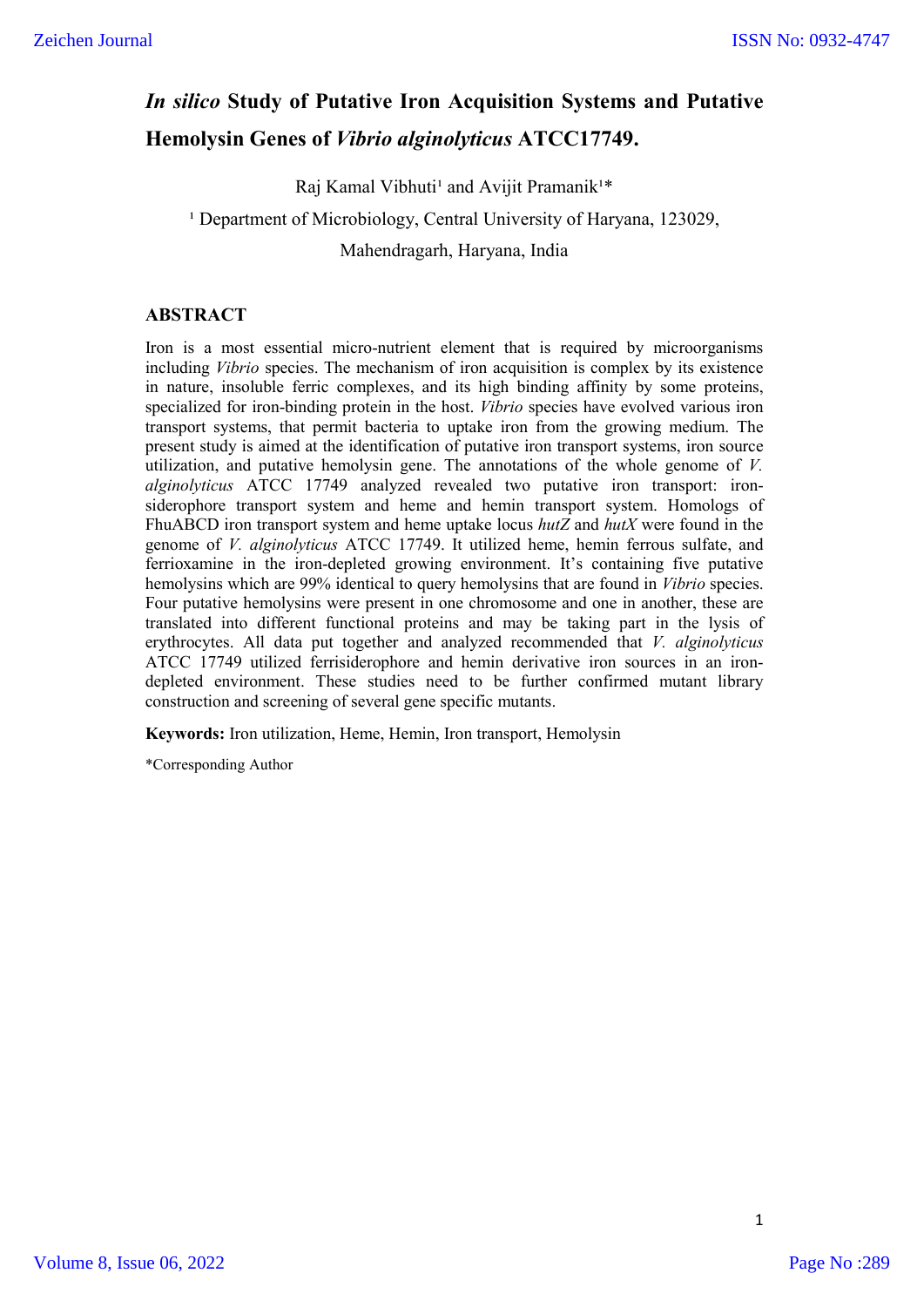# *In silico* **Study of Putative Iron Acquisition Systems and Putative Hemolysin Genes of** *Vibrio alginolyticus* **ATCC17749.**

Raj Kamal Vibhuti<sup>1</sup> and Avijit Pramanik<sup>1\*</sup>

<sup>1</sup> Department of Microbiology, Central University of Haryana, 123029,

Mahendragarh, Haryana, India

# **ABSTRACT**

Iron is a most essential micro-nutrient element that is required by microorganisms including *Vibrio* species. The mechanism of iron acquisition is complex by its existence in nature, insoluble ferric complexes, and its high binding affinity by some proteins, specialized for iron-binding protein in the host. *Vibrio* species have evolved various iron transport systems, that permit bacteria to uptake iron from the growing medium. The present study is aimed at the identification of putative iron transport systems, iron source utilization, and putative hemolysin gene. The annotations of the whole genome of *V. alginolyticus* ATCC 17749 analyzed revealed two putative iron transport: ironsiderophore transport system and heme and hemin transport system. Homologs of FhuABCD iron transport system and heme uptake locus *hutZ* and *hutX* were found in the genome of *V. alginolyticus* ATCC 17749. It utilized heme, hemin ferrous sulfate, and ferrioxamine in the iron-depleted growing environment. It's containing five putative hemolysins which are 99% identical to query hemolysins that are found in *Vibrio* species. Four putative hemolysins were present in one chromosome and one in another, these are translated into different functional proteins and may be taking part in the lysis of erythrocytes. All data put together and analyzed recommended that *V. alginolyticus* ATCC 17749 utilized ferrisiderophore and hemin derivative iron sources in an irondepleted environment. These studies need to be further confirmed mutant library construction and screening of several gene specific mutants.

**Keywords:** Iron utilization, Heme, Hemin, Iron transport, Hemolysin

\*Corresponding Author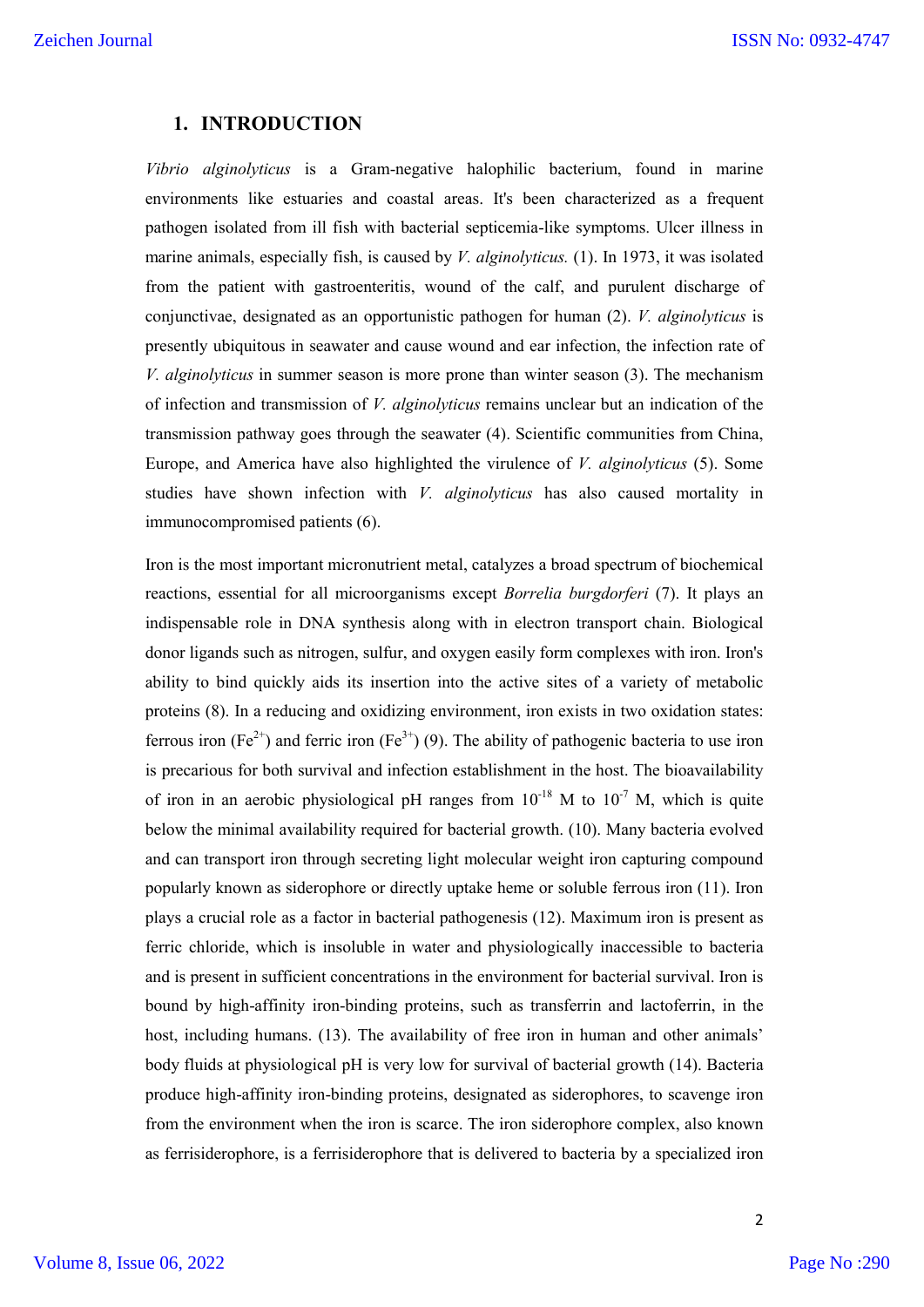# **1. INTRODUCTION**

*Vibrio alginolyticus* is a Gram-negative halophilic bacterium, found in marine environments like estuaries and coastal areas. It's been characterized as a frequent pathogen isolated from ill fish with bacterial septicemia-like symptoms. Ulcer illness in marine animals, especially fish, is caused by *V. alginolyticus.* (1). In 1973, it was isolated from the patient with gastroenteritis, wound of the calf, and purulent discharge of conjunctivae, designated as an opportunistic pathogen for human (2). *V. alginolyticus* is presently ubiquitous in seawater and cause wound and ear infection, the infection rate of *V. alginolyticus* in summer season is more prone than winter season (3). The mechanism of infection and transmission of *V. alginolyticus* remains unclear but an indication of the transmission pathway goes through the seawater (4). Scientific communities from China, Europe, and America have also highlighted the virulence of *V. alginolyticus* (5). Some studies have shown infection with *V. alginolyticus* has also caused mortality in immunocompromised patients (6).

Iron is the most important micronutrient metal, catalyzes a broad spectrum of biochemical reactions, essential for all microorganisms except *Borrelia burgdorferi* (7). It plays an indispensable role in DNA synthesis along with in electron transport chain. Biological donor ligands such as nitrogen, sulfur, and oxygen easily form complexes with iron. Iron's ability to bind quickly aids its insertion into the active sites of a variety of metabolic proteins (8). In a reducing and oxidizing environment, iron exists in two oxidation states: ferrous iron (Fe<sup>2+</sup>) and ferric iron (Fe<sup>3+</sup>) (9). The ability of pathogenic bacteria to use iron is precarious for both survival and infection establishment in the host. The bioavailability of iron in an aerobic physiological pH ranges from  $10^{-18}$  M to  $10^{-7}$  M, which is quite below the minimal availability required for bacterial growth. (10). Many bacteria evolved and can transport iron through secreting light molecular weight iron capturing compound popularly known as siderophore or directly uptake heme or soluble ferrous iron (11). Iron plays a crucial role as a factor in bacterial pathogenesis (12). Maximum iron is present as ferric chloride, which is insoluble in water and physiologically inaccessible to bacteria and is present in sufficient concentrations in the environment for bacterial survival. Iron is bound by high-affinity iron-binding proteins, such as transferrin and lactoferrin, in the host, including humans. (13). The availability of free iron in human and other animals' body fluids at physiological pH is very low for survival of bacterial growth (14). Bacteria produce high-affinity iron-binding proteins, designated as siderophores, to scavenge iron from the environment when the iron is scarce. The iron siderophore complex, also known as ferrisiderophore, is a ferrisiderophore that is delivered to bacteria by a specialized iron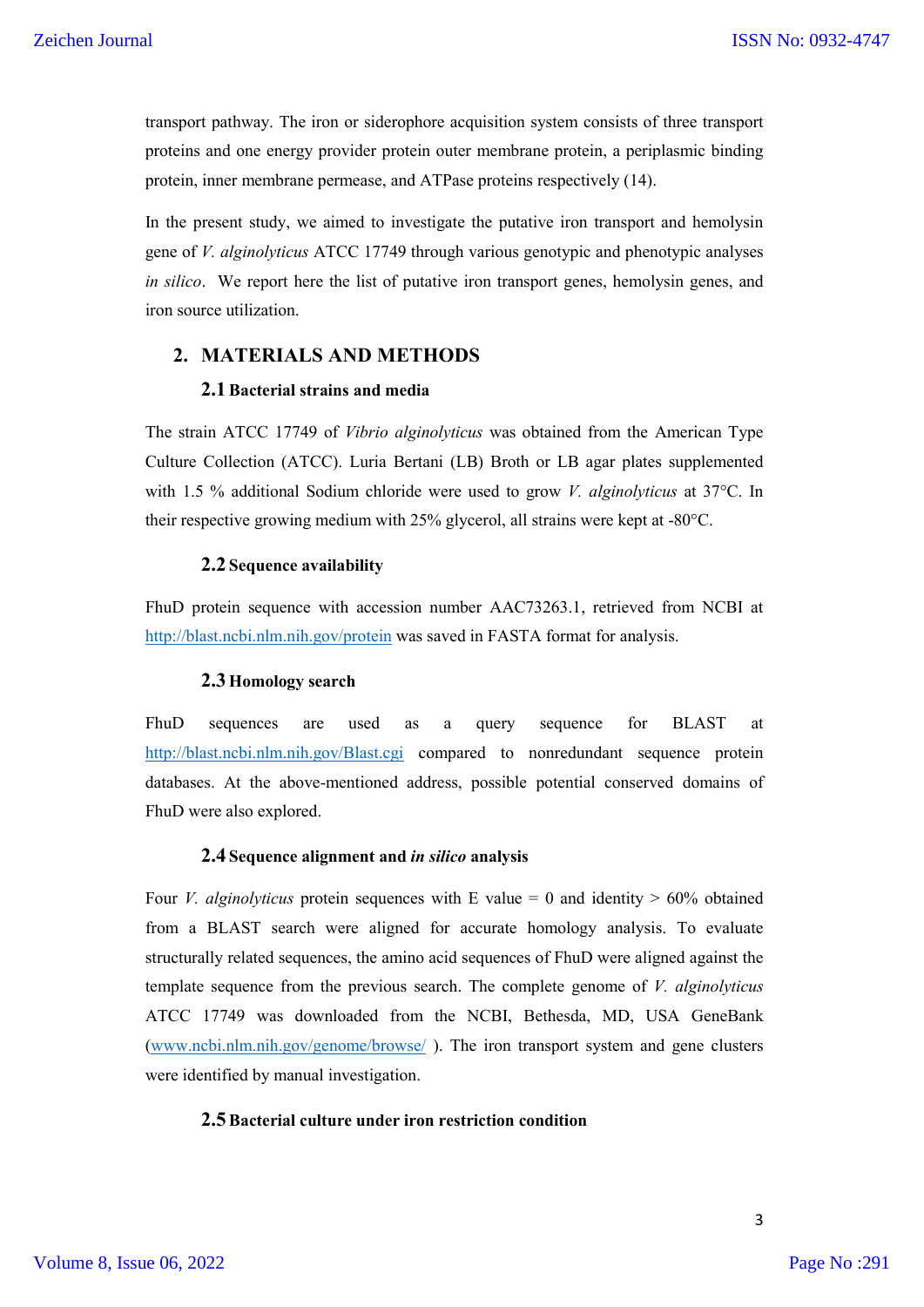transport pathway. The iron or siderophore acquisition system consists of three transport proteins and one energy provider protein outer membrane protein, a periplasmic binding protein, inner membrane permease, and ATPase proteins respectively (14).

In the present study, we aimed to investigate the putative iron transport and hemolysin gene of *V. alginolyticus* ATCC 17749 through various genotypic and phenotypic analyses *in silico*. We report here the list of putative iron transport genes, hemolysin genes, and iron source utilization.

# **2. MATERIALS AND METHODS**

## **2.1Bacterial strains and media**

The strain ATCC 17749 of *Vibrio alginolyticus* was obtained from the American Type Culture Collection (ATCC). Luria Bertani (LB) Broth or LB agar plates supplemented with 1.5 % additional Sodium chloride were used to grow *V. alginolyticus* at 37°C. In their respective growing medium with 25% glycerol, all strains were kept at -80°C.

#### **2.2 Sequence availability**

FhuD protein sequence with accession number AAC73263.1, retrieved from NCBI at http://blast.ncbi.nlm.nih.gov/protein was saved in FASTA format for analysis.

#### **2.3 Homology search**

FhuD sequences are used as a query sequence for BLAST at http://blast.ncbi.nlm.nih.gov/Blast.cgi compared to nonredundant sequence protein databases. At the above-mentioned address, possible potential conserved domains of FhuD were also explored.

#### **2.4 Sequence alignment and** *in silico* **analysis**

Four *V. alginolyticus* protein sequences with E value  $= 0$  and identity  $> 60\%$  obtained from a BLAST search were aligned for accurate homology analysis. To evaluate structurally related sequences, the amino acid sequences of FhuD were aligned against the template sequence from the previous search. The complete genome of *V. alginolyticus* ATCC 17749 was downloaded from the NCBI, Bethesda, MD, USA GeneBank (www.ncbi.nlm.nih.gov/genome/browse/ ). The iron transport system and gene clusters were identified by manual investigation.

#### **2.5Bacterial culture under iron restriction condition**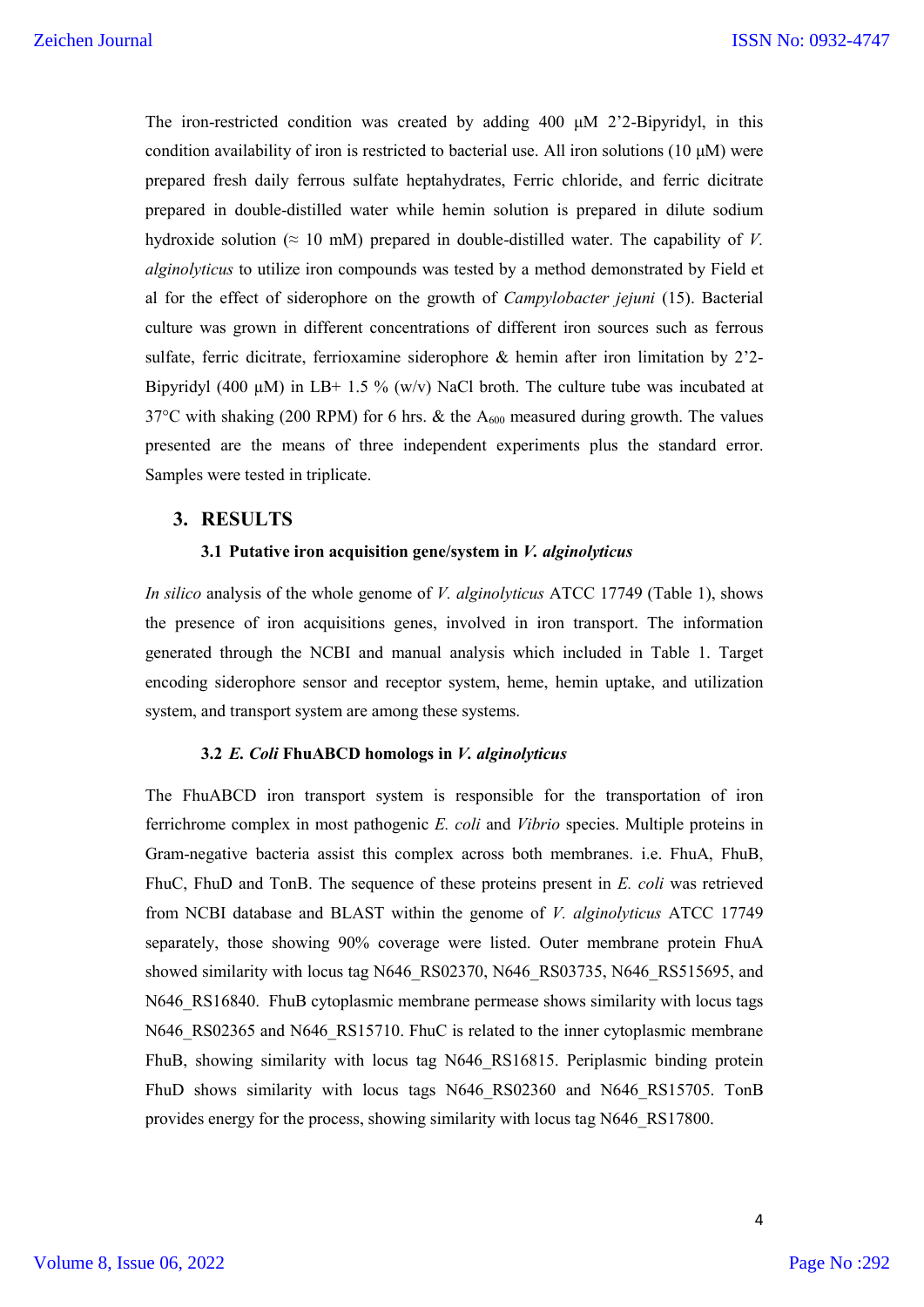The iron-restricted condition was created by adding 400  $\mu$ M 2'2-Bipyridyl, in this condition availability of iron is restricted to bacterial use. All iron solutions (10  $\mu$ M) were prepared fresh daily ferrous sulfate heptahydrates, Ferric chloride, and ferric dicitrate prepared in double-distilled water while hemin solution is prepared in dilute sodium hydroxide solution ( $\approx 10$  mM) prepared in double-distilled water. The capability of *V*. *alginolyticus* to utilize iron compounds was tested by a method demonstrated by Field et al for the effect of siderophore on the growth of *Campylobacter jejuni* (15). Bacterial culture was grown in different concentrations of different iron sources such as ferrous sulfate, ferric dicitrate, ferrioxamine siderophore & hemin after iron limitation by 2'2- Bipyridyl (400  $\mu$ M) in LB+ 1.5 % (w/v) NaCl broth. The culture tube was incubated at 37°C with shaking (200 RPM) for 6 hrs. & the  $A_{600}$  measured during growth. The values presented are the means of three independent experiments plus the standard error. Samples were tested in triplicate.

# **3. RESULTS**

#### **3.1 Putative iron acquisition gene/system in** *V. alginolyticus*

*In silico* analysis of the whole genome of *V. alginolyticus* ATCC 17749 (Table 1), shows the presence of iron acquisitions genes, involved in iron transport. The information generated through the NCBI and manual analysis which included in Table 1. Target encoding siderophore sensor and receptor system, heme, hemin uptake, and utilization system, and transport system are among these systems.

#### **3.2** *E. Coli* **FhuABCD homologs in** *V. alginolyticus*

The FhuABCD iron transport system is responsible for the transportation of iron ferrichrome complex in most pathogenic *E. coli* and *Vibrio* species. Multiple proteins in Gram-negative bacteria assist this complex across both membranes. i.e. FhuA, FhuB, FhuC, FhuD and TonB. The sequence of these proteins present in *E. coli* was retrieved from NCBI database and BLAST within the genome of *V. alginolyticus* ATCC 17749 separately, those showing 90% coverage were listed. Outer membrane protein FhuA showed similarity with locus tag N646\_RS02370, N646\_RS03735, N646\_RS515695, and N646 RS16840. FhuB cytoplasmic membrane permease shows similarity with locus tags N646 RS02365 and N646 RS15710. FhuC is related to the inner cytoplasmic membrane FhuB, showing similarity with locus tag N646\_RS16815. Periplasmic binding protein FhuD shows similarity with locus tags N646\_RS02360 and N646\_RS15705. TonB provides energy for the process, showing similarity with locus tag N646\_RS17800.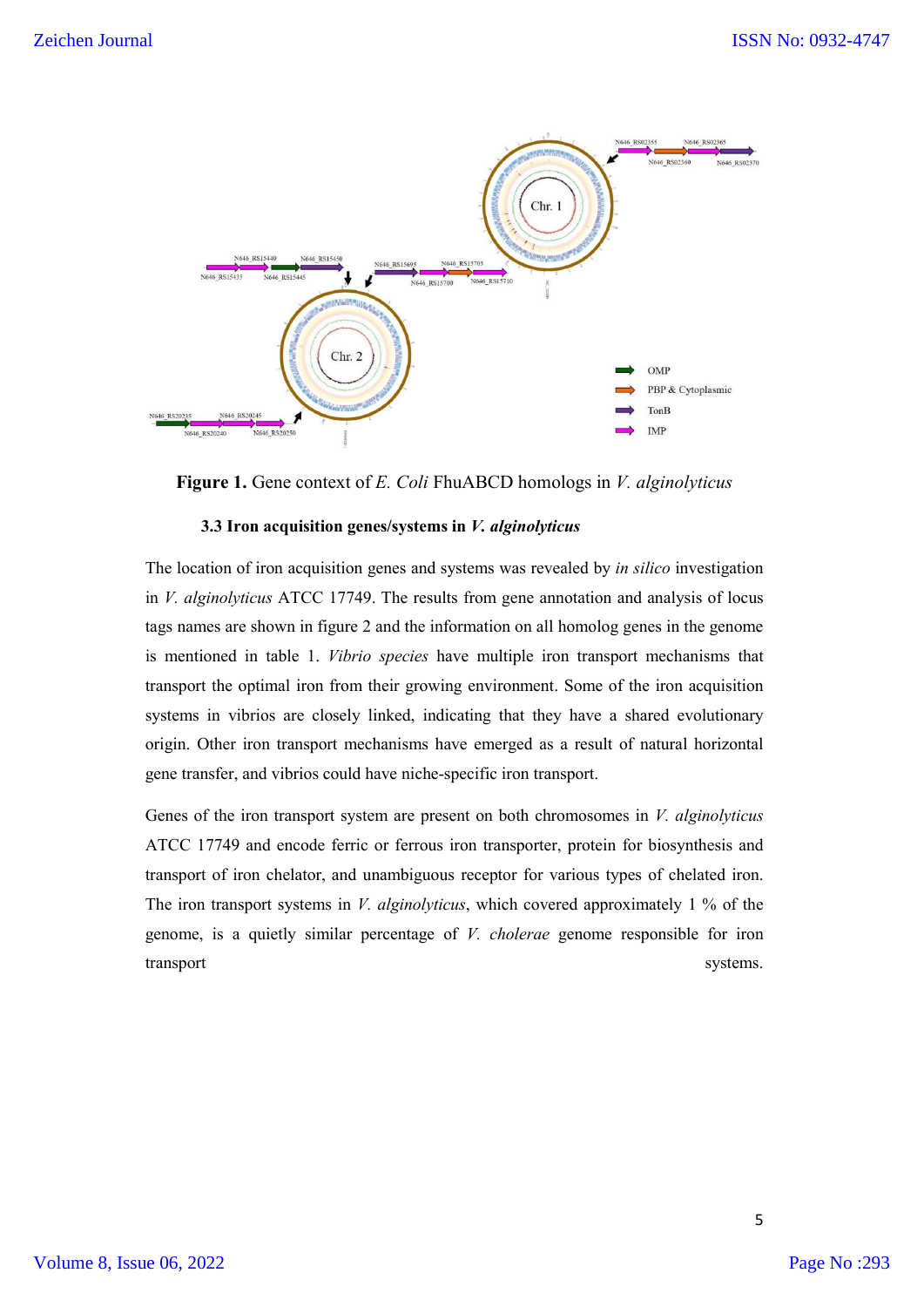

**Figure 1.** Gene context of *E. Coli* FhuABCD homologs in *V. alginolyticus*

#### **3.3 Iron acquisition genes/systems in** *V. alginolyticus*

The location of iron acquisition genes and systems was revealed by *in silico* investigation in *V. alginolyticus* ATCC 17749. The results from gene annotation and analysis of locus tags names are shown in figure 2 and the information on all homolog genes in the genome is mentioned in table 1. *Vibrio species* have multiple iron transport mechanisms that transport the optimal iron from their growing environment. Some of the iron acquisition systems in vibrios are closely linked, indicating that they have a shared evolutionary origin. Other iron transport mechanisms have emerged as a result of natural horizontal gene transfer, and vibrios could have niche-specific iron transport.

Genes of the iron transport system are present on both chromosomes in *V. alginolyticus* ATCC 17749 and encode ferric or ferrous iron transporter, protein for biosynthesis and transport of iron chelator, and unambiguous receptor for various types of chelated iron. The iron transport systems in *V. alginolyticus*, which covered approximately 1 % of the genome, is a quietly similar percentage of *V. cholerae* genome responsible for iron transport systems.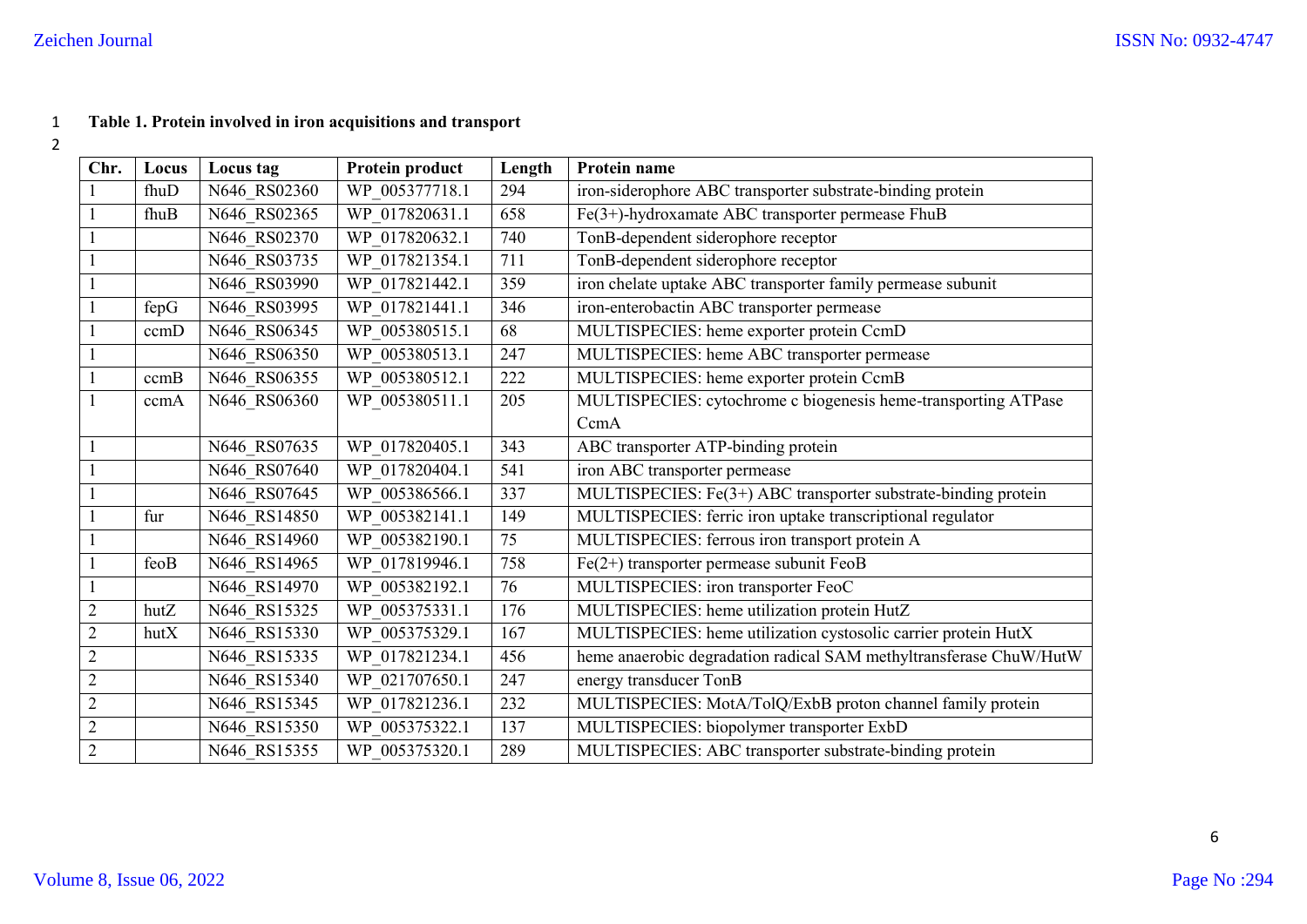# **Table 1. Protein involved in iron acquisitions and transport**

| Chr.           | Locus | Locus tag    | Protein product | Length | Protein name                                                       |  |
|----------------|-------|--------------|-----------------|--------|--------------------------------------------------------------------|--|
| $\mathbf{1}$   | fhuD  | N646_RS02360 | WP 005377718.1  | 294    | iron-siderophore ABC transporter substrate-binding protein         |  |
| $\mathbf{1}$   | fhuB  | N646 RS02365 | WP 017820631.1  | 658    | Fe(3+)-hydroxamate ABC transporter permease FhuB                   |  |
| $\mathbf{1}$   |       | N646 RS02370 | WP 017820632.1  | 740    | TonB-dependent siderophore receptor                                |  |
| $\mathbf{1}$   |       | N646 RS03735 | WP 017821354.1  | 711    | TonB-dependent siderophore receptor                                |  |
| $\mathbf{1}$   |       | N646 RS03990 | WP 017821442.1  | 359    | iron chelate uptake ABC transporter family permease subunit        |  |
| $\mathbf{1}$   | fepG  | N646 RS03995 | WP 017821441.1  | 346    | iron-enterobactin ABC transporter permease                         |  |
| $\mathbf{1}$   | ccmD  | N646_RS06345 | WP 005380515.1  | 68     | MULTISPECIES: heme exporter protein CcmD                           |  |
| $\mathbf{1}$   |       | N646_RS06350 | WP_005380513.1  | 247    | MULTISPECIES: heme ABC transporter permease                        |  |
| $\mathbf{1}$   | ccmB  | N646 RS06355 | WP 005380512.1  | 222    | MULTISPECIES: heme exporter protein CcmB                           |  |
| $\mathbf{1}$   | ccmA  | N646 RS06360 | WP 005380511.1  | 205    | MULTISPECIES: cytochrome c biogenesis heme-transporting ATPase     |  |
|                |       |              |                 |        | CcmA                                                               |  |
| $\mathbf{1}$   |       | N646 RS07635 | WP 017820405.1  | 343    | ABC transporter ATP-binding protein                                |  |
| $\mathbf{1}$   |       | N646 RS07640 | WP 017820404.1  | 541    | iron ABC transporter permease                                      |  |
| $\mathbf{1}$   |       | N646 RS07645 | WP_005386566.1  | 337    | MULTISPECIES: Fe(3+) ABC transporter substrate-binding protein     |  |
| $\mathbf{1}$   | fur   | N646 RS14850 | WP 005382141.1  | 149    | MULTISPECIES: ferric iron uptake transcriptional regulator         |  |
| $\mathbf{1}$   |       | N646 RS14960 | WP 005382190.1  | 75     | MULTISPECIES: ferrous iron transport protein A                     |  |
| $\mathbf{1}$   | feoB  | N646 RS14965 | WP 017819946.1  | 758    | $Fe(2+)$ transporter permease subunit FeoB                         |  |
| $\mathbf{1}$   |       | N646 RS14970 | WP 005382192.1  | 76     | MULTISPECIES: iron transporter FeoC                                |  |
| $\overline{2}$ | hutZ  | N646 RS15325 | WP 005375331.1  | 176    | MULTISPECIES: heme utilization protein HutZ                        |  |
| $\sqrt{2}$     | hutX  | N646_RS15330 | WP 005375329.1  | 167    | MULTISPECIES: heme utilization cystosolic carrier protein HutX     |  |
| $\overline{2}$ |       | N646 RS15335 | WP 017821234.1  | 456    | heme anaerobic degradation radical SAM methyltransferase ChuW/HutW |  |
| $\mathbf{2}$   |       | N646 RS15340 | WP_021707650.1  | 247    | energy transducer TonB                                             |  |
| $\sqrt{2}$     |       | N646 RS15345 | WP 017821236.1  | 232    | MULTISPECIES: MotA/TolQ/ExbB proton channel family protein         |  |
| $\overline{2}$ |       | N646 RS15350 | WP 005375322.1  | 137    | MULTISPECIES: biopolymer transporter ExbD                          |  |
| $\sqrt{2}$     |       | N646 RS15355 | WP 005375320.1  | 289    | MULTISPECIES: ABC transporter substrate-binding protein            |  |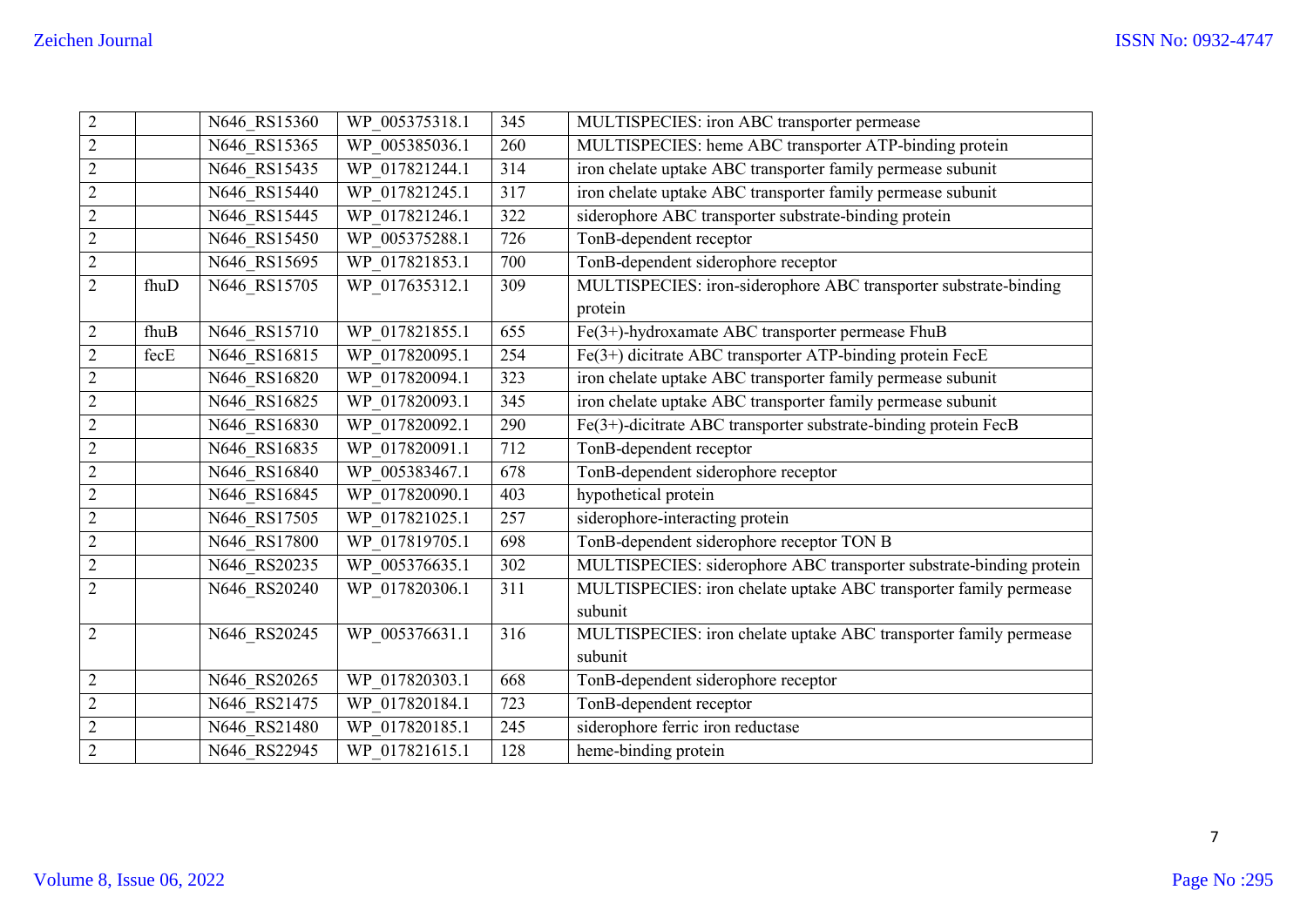| $\overline{2}$ |      | N646_RS15360 | WP 005375318.1 | 345 | MULTISPECIES: iron ABC transporter permease                         |
|----------------|------|--------------|----------------|-----|---------------------------------------------------------------------|
| $\overline{2}$ |      | N646 RS15365 | WP 005385036.1 | 260 | MULTISPECIES: heme ABC transporter ATP-binding protein              |
| $\overline{2}$ |      | N646 RS15435 | WP 017821244.1 | 314 | iron chelate uptake ABC transporter family permease subunit         |
| $\sqrt{2}$     |      | N646 RS15440 | WP_017821245.1 | 317 | iron chelate uptake ABC transporter family permease subunit         |
| $\overline{2}$ |      | N646 RS15445 | WP 017821246.1 | 322 | siderophore ABC transporter substrate-binding protein               |
| $\sqrt{2}$     |      | N646 RS15450 | WP_005375288.1 | 726 | TonB-dependent receptor                                             |
| $\sqrt{2}$     |      | N646 RS15695 | WP 017821853.1 | 700 | TonB-dependent siderophore receptor                                 |
| $\overline{2}$ | fhuD | N646 RS15705 | WP_017635312.1 | 309 | MULTISPECIES: iron-siderophore ABC transporter substrate-binding    |
|                |      |              |                |     | protein                                                             |
| $\overline{2}$ | fhuB | N646 RS15710 | WP 017821855.1 | 655 | Fe(3+)-hydroxamate ABC transporter permease FhuB                    |
| $\sqrt{2}$     | fecE | N646 RS16815 | WP 017820095.1 | 254 | Fe(3+) dicitrate ABC transporter ATP-binding protein FecE           |
| $\overline{2}$ |      | N646 RS16820 | WP 017820094.1 | 323 | iron chelate uptake ABC transporter family permease subunit         |
| $\sqrt{2}$     |      | N646 RS16825 | WP 017820093.1 | 345 | iron chelate uptake ABC transporter family permease subunit         |
| $\overline{2}$ |      | N646 RS16830 | WP 017820092.1 | 290 | Fe(3+)-dicitrate ABC transporter substrate-binding protein FecB     |
| $\sqrt{2}$     |      | N646 RS16835 | WP_017820091.1 | 712 | TonB-dependent receptor                                             |
| $\sqrt{2}$     |      | N646 RS16840 | WP 005383467.1 | 678 | TonB-dependent siderophore receptor                                 |
| $\sqrt{2}$     |      | N646_RS16845 | WP 017820090.1 | 403 | hypothetical protein                                                |
| $\sqrt{2}$     |      | N646 RS17505 | WP_017821025.1 | 257 | siderophore-interacting protein                                     |
| $\sqrt{2}$     |      | N646 RS17800 | WP 017819705.1 | 698 | TonB-dependent siderophore receptor TON B                           |
| $\sqrt{2}$     |      | N646 RS20235 | WP 005376635.1 | 302 | MULTISPECIES: siderophore ABC transporter substrate-binding protein |
| $\overline{2}$ |      | N646 RS20240 | WP_017820306.1 | 311 | MULTISPECIES: iron chelate uptake ABC transporter family permease   |
|                |      |              |                |     | subunit                                                             |
| $\sqrt{2}$     |      | N646_RS20245 | WP_005376631.1 | 316 | MULTISPECIES: iron chelate uptake ABC transporter family permease   |
|                |      |              |                |     | subunit                                                             |
| $\overline{2}$ |      | N646 RS20265 | WP 017820303.1 | 668 | TonB-dependent siderophore receptor                                 |
| $\sqrt{2}$     |      | N646_RS21475 | WP 017820184.1 | 723 | TonB-dependent receptor                                             |
| $\sqrt{2}$     |      | N646 RS21480 | WP 017820185.1 | 245 | siderophore ferric iron reductase                                   |
| $\sqrt{2}$     |      | N646 RS22945 | WP 017821615.1 | 128 | heme-binding protein                                                |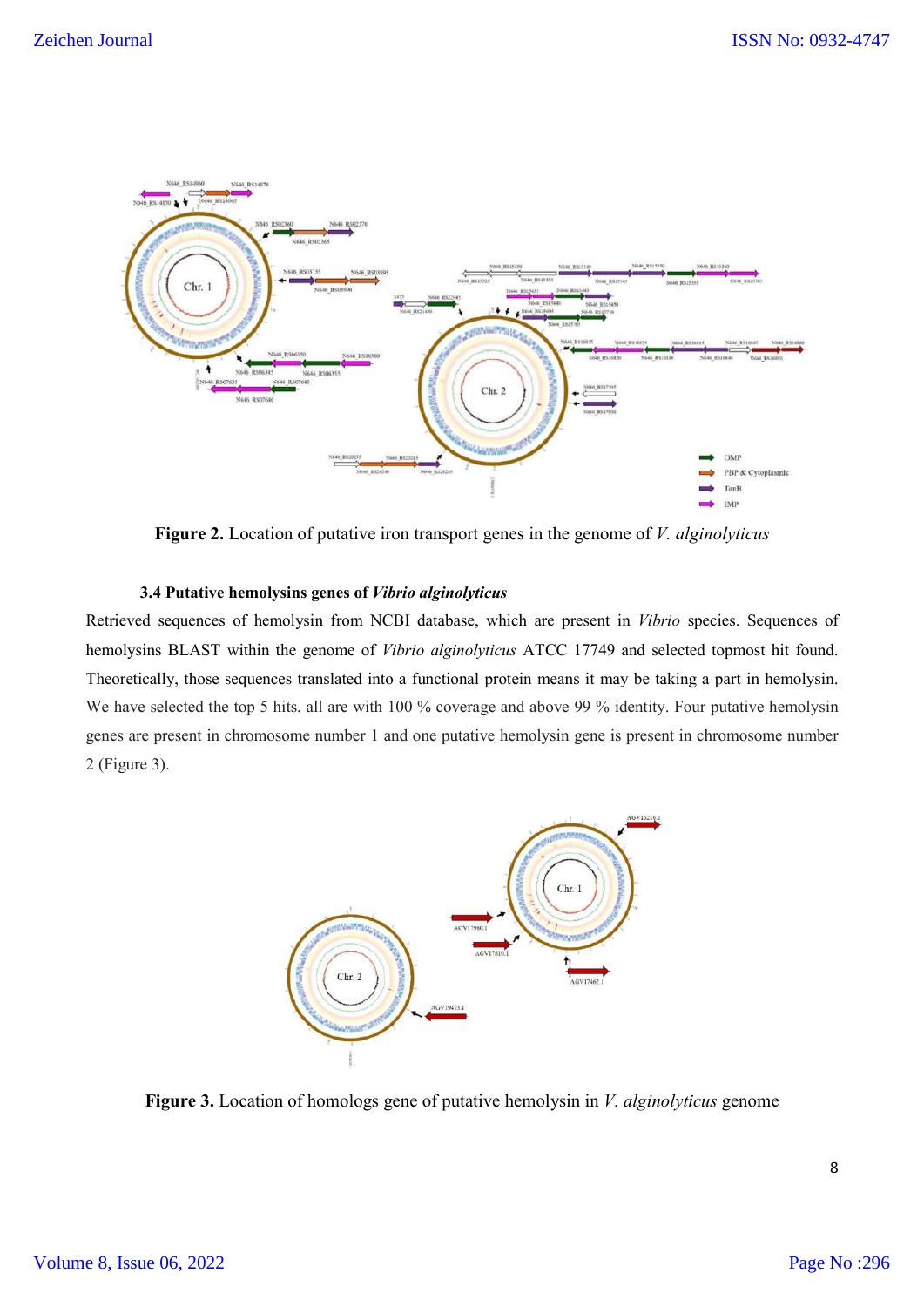

**Figure 2.** Location of putative iron transport genes in the genome of *V. alginolyticus*

## **3.4 Putative hemolysins genes of** *Vibrio alginolyticus*

Retrieved sequences of hemolysin from NCBI database, which are present in *Vibrio* species. Sequences of hemolysins BLAST within the genome of *Vibrio alginolyticus* ATCC 17749 and selected topmost hit found. Theoretically, those sequences translated into a functional protein means it may be taking a part in hemolysin. We have selected the top 5 hits, all are with 100 % coverage and above 99 % identity. Four putative hemolysin genes are present in chromosome number 1 and one putative hemolysin gene is present in chromosome number 2 (Figure 3).



**Figure 3.** Location of homologs gene of putative hemolysin in *V. alginolyticus* genome

8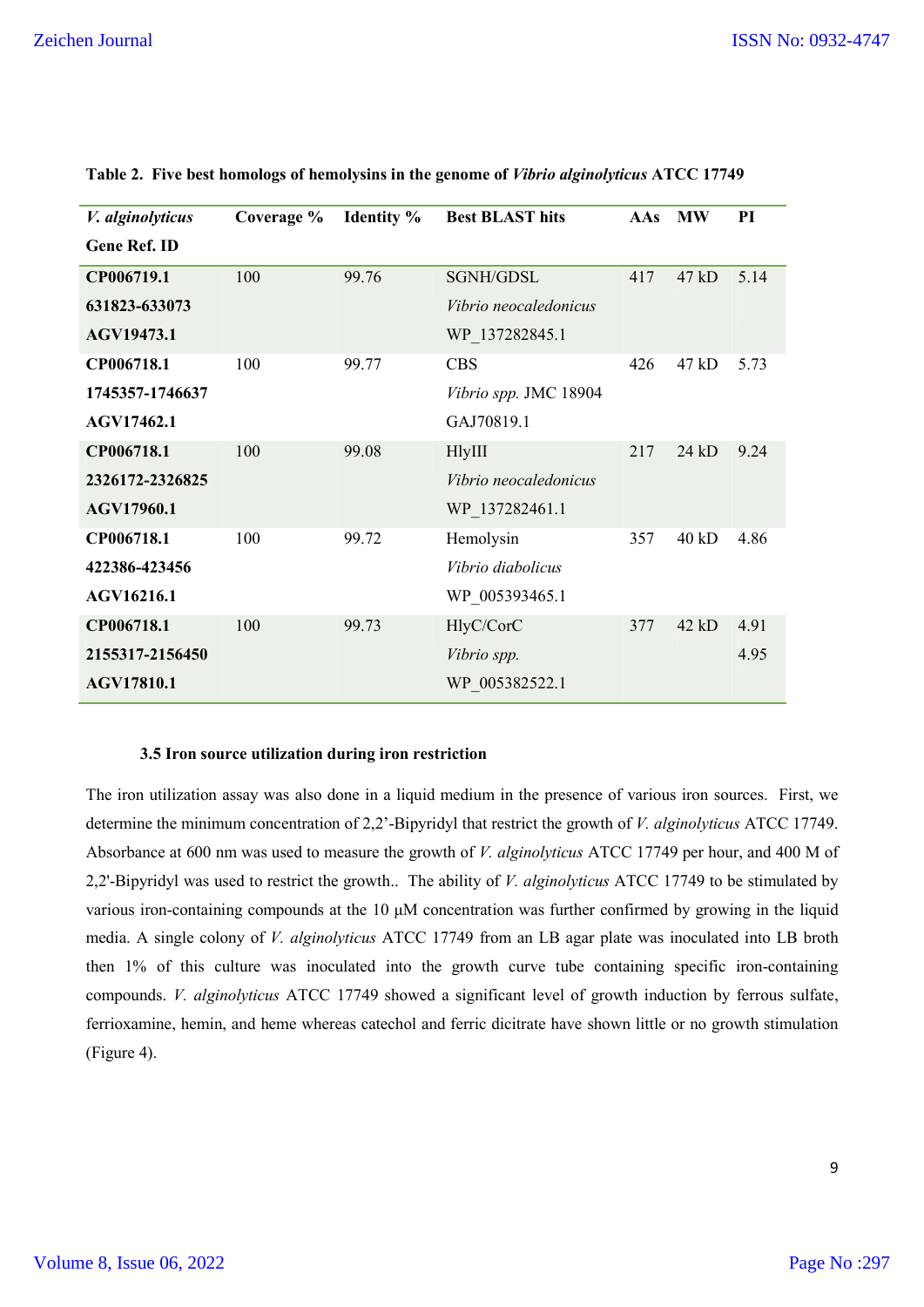| V. alginolyticus    | Coverage % | <b>Identity</b> % | <b>Best BLAST hits</b> | AAs | <b>MW</b> | PI   |
|---------------------|------------|-------------------|------------------------|-----|-----------|------|
| <b>Gene Ref. ID</b> |            |                   |                        |     |           |      |
| CP006719.1          | 100        | 99.76             | SGNH/GDSL              | 417 | 47 kD     | 5.14 |
| 631823-633073       |            |                   | Vibrio neocaledonicus  |     |           |      |
| AGV19473.1          |            |                   | WP_137282845.1         |     |           |      |
| CP006718.1          | 100        | 99.77             | <b>CBS</b>             | 426 | 47 kD     | 5.73 |
| 1745357-1746637     |            |                   | Vibrio spp. JMC 18904  |     |           |      |
| AGV17462.1          |            |                   | GAJ70819.1             |     |           |      |
| CP006718.1          | 100        | 99.08             | <b>HlyIII</b>          | 217 | 24 kD     | 9.24 |
| 2326172-2326825     |            |                   | Vibrio neocaledonicus  |     |           |      |
| AGV17960.1          |            |                   | WP 137282461.1         |     |           |      |
| CP006718.1          | 100        | 99.72             | Hemolysin              | 357 | 40 kD     | 4.86 |
| 422386-423456       |            |                   | Vibrio diabolicus      |     |           |      |
| AGV16216.1          |            |                   | WP 005393465.1         |     |           |      |
| CP006718.1          | 100        | 99.73             | HlyC/CorC              | 377 | 42 kD     | 4.91 |
| 2155317-2156450     |            |                   | Vibrio spp.            |     |           | 4.95 |
| <b>AGV17810.1</b>   |            |                   | WP 005382522.1         |     |           |      |
|                     |            |                   |                        |     |           |      |

**Table 2. Five best homologs of hemolysins in the genome of** *Vibrio alginolyticus* **ATCC 17749**

# **3.5 Iron source utilization during iron restriction**

The iron utilization assay was also done in a liquid medium in the presence of various iron sources. First, we determine the minimum concentration of 2,2'-Bipyridyl that restrict the growth of *V. alginolyticus* ATCC 17749. Absorbance at 600 nm was used to measure the growth of *V. alginolyticus* ATCC 17749 per hour, and 400 M of 2,2'-Bipyridyl was used to restrict the growth.. The ability of *V. alginolyticus* ATCC 17749 to be stimulated by various iron-containing compounds at the 10 μM concentration was further confirmed by growing in the liquid media. A single colony of *V. alginolyticus* ATCC 17749 from an LB agar plate was inoculated into LB broth then 1% of this culture was inoculated into the growth curve tube containing specific iron-containing compounds. *V. alginolyticus* ATCC 17749 showed a significant level of growth induction by ferrous sulfate, ferrioxamine, hemin, and heme whereas catechol and ferric dicitrate have shown little or no growth stimulation (Figure 4).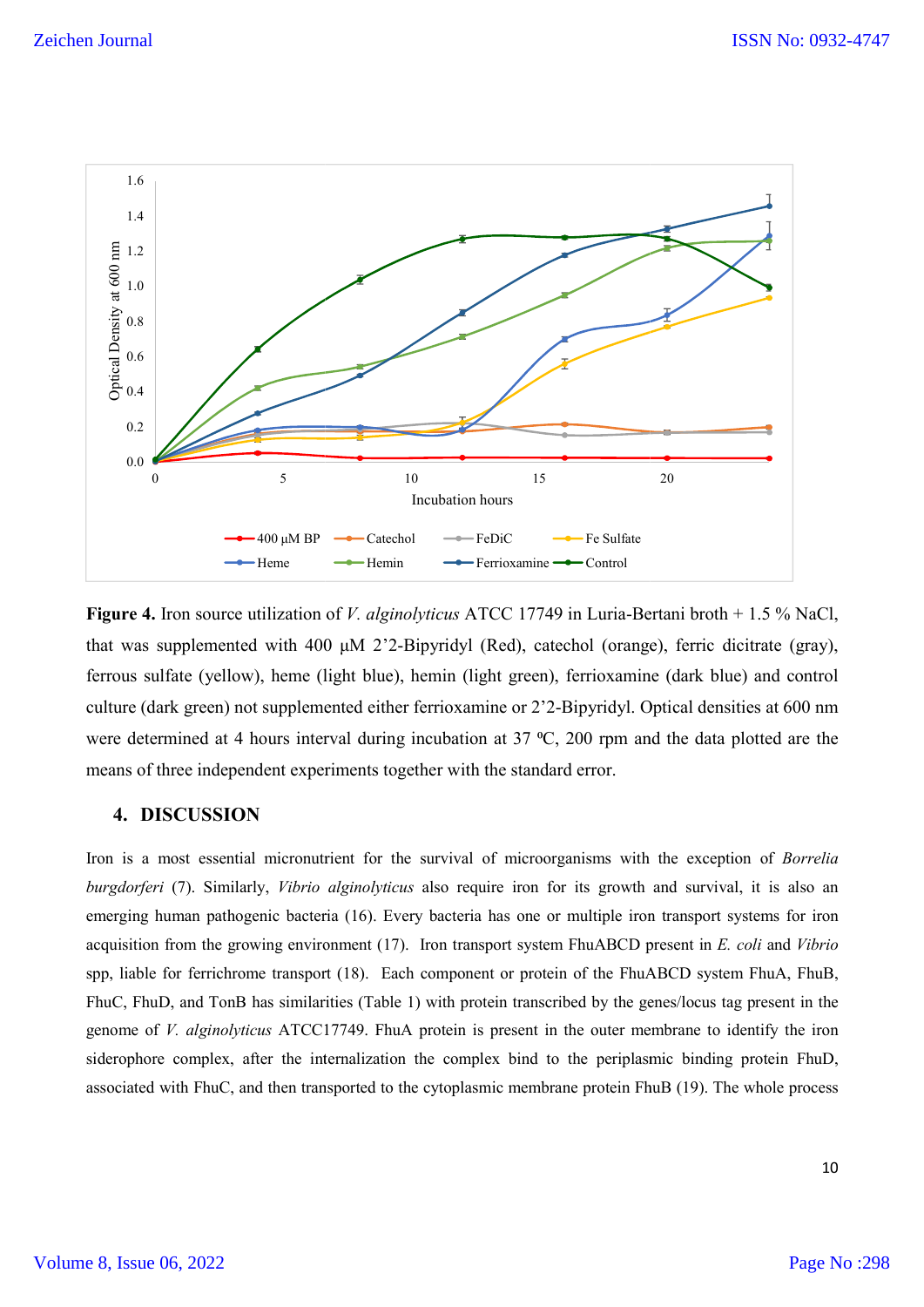

**Figure 4.** Iron source utilization of *V. alginolyticus* ATCC 17749 in Luria-Bertani broth + 1.5 % NaCl, Figure 4. Iron source utilization of *V. alginolyticus* ATCC 17749 in Luria-Bertani broth + 1.5 % NaCl,<br>that was supplemented with 400 μM 2'2-Bipyridyl (Red), catechol (orange), ferric dicitrate (gray), ferrous sulfate (yellow), heme (light blue), hemin (light green), ferrioxamine (dark blue) and control ferrous sulfate (yellow), heme (light blue), hemin (light green), ferrioxamine (dark blue) and control<br>culture (dark green) not supplemented either ferrioxamine or 2'2-Bipyridyl. Optical densities at 600 nm were determined at 4 hours interval during incubation at  $37 \text{ °C}$ ,  $200 \text{ rpm}$  and the data plotted are the means of three independent experiments together with the standard error. The <sup>2</sup>-Bipyridyl. Optical densities at 600 nm<br>
<sup>C</sup>, 200 rpm and the data plotted are the<br>
dard error.<br> **Solution** of *Borrelia organisms* with the exception of *Borrelia* 

# **4. DISCUSSION**

Iron is a most essential micronutrient for the survival of microorganisms with burgdorferi (7). Similarly, *Vibrio alginolyticus* also require iron for its growth and survival, it is also an emerging human pathogenic bacteria (16). Every bacteria has one or multiple iron transport systems for iron acquisition from the growing environment (17). Iron transport system FhuABCD present in *E. coli* and *Vibrio* spp, liable for ferrichrome transport (18). Each component or protein of the FhuABCD system FhuA, FhuB, FhuC, FhuD, and TonB has similarities (Table 1) with protein transcribed by the genes/locus tag present in the genome of *V. alginolyticus* ATCC17749. FhuA protein is present in the outer membrane to identify the iron siderophore complex, after the internalization the complex bind to the periplasmic binding protein FhuD, associated with FhuC, and then transported to the cytoplasmic membrane protein FhuB (19). The whole process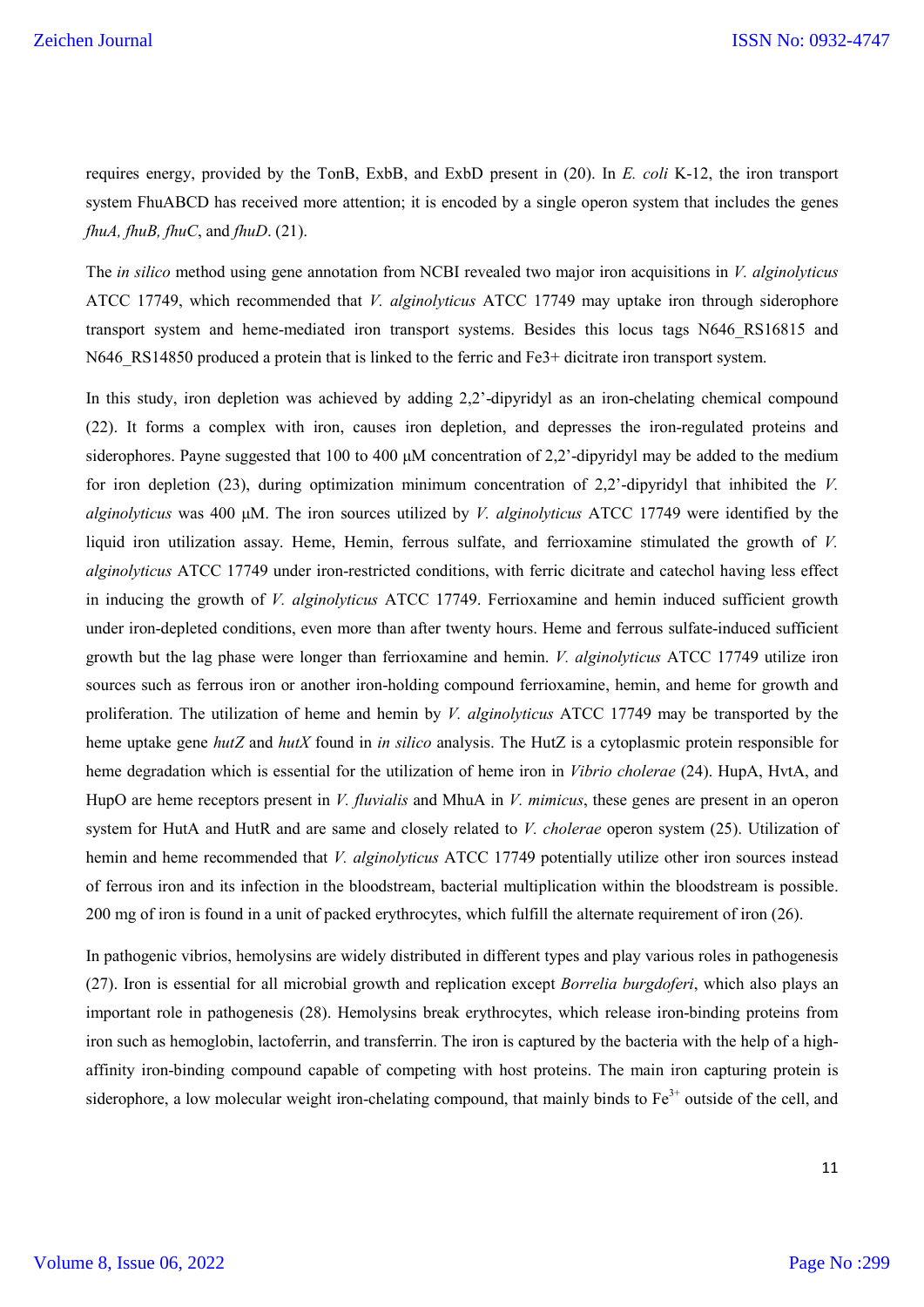requires energy, provided by the TonB, ExbB, and ExbD present in (20). In *E. coli* K-12, the iron transport system FhuABCD has received more attention; it is encoded by a single operon system that includes the genes *fhuA, fhuB, fhuC*, and *fhuD*. (21).

The *in silico* method using gene annotation from NCBI revealed two major iron acquisitions in *V. alginolyticus* ATCC 17749, which recommended that *V. alginolyticus* ATCC 17749 may uptake iron through siderophore transport system and heme-mediated iron transport systems. Besides this locus tags N646\_RS16815 and N646 RS14850 produced a protein that is linked to the ferric and Fe3+ dicitrate iron transport system.

In this study, iron depletion was achieved by adding 2,2'-dipyridyl as an iron-chelating chemical compound (22). It forms a complex with iron, causes iron depletion, and depresses the iron-regulated proteins and siderophores. Payne suggested that 100 to 400 μM concentration of 2,2'-dipyridyl may be added to the medium for iron depletion (23), during optimization minimum concentration of 2,2'-dipyridyl that inhibited the *V. alginolyticus* was 400 μM. The iron sources utilized by *V. alginolyticus* ATCC 17749 were identified by the liquid iron utilization assay. Heme, Hemin, ferrous sulfate, and ferrioxamine stimulated the growth of *V. alginolyticus* ATCC 17749 under iron-restricted conditions, with ferric dicitrate and catechol having less effect in inducing the growth of *V. alginolyticus* ATCC 17749. Ferrioxamine and hemin induced sufficient growth under iron-depleted conditions, even more than after twenty hours. Heme and ferrous sulfate-induced sufficient growth but the lag phase were longer than ferrioxamine and hemin. *V. alginolyticus* ATCC 17749 utilize iron sources such as ferrous iron or another iron-holding compound ferrioxamine, hemin, and heme for growth and proliferation. The utilization of heme and hemin by *V. alginolyticus* ATCC 17749 may be transported by the heme uptake gene *hutZ* and *hutX* found in *in silico* analysis. The HutZ is a cytoplasmic protein responsible for heme degradation which is essential for the utilization of heme iron in *Vibrio cholerae* (24). HupA, HvtA, and HupO are heme receptors present in *V. fluvialis* and MhuA in *V. mimicus*, these genes are present in an operon system for HutA and HutR and are same and closely related to *V. cholerae* operon system (25). Utilization of hemin and heme recommended that *V. alginolyticus* ATCC 17749 potentially utilize other iron sources instead of ferrous iron and its infection in the bloodstream, bacterial multiplication within the bloodstream is possible. 200 mg of iron is found in a unit of packed erythrocytes, which fulfill the alternate requirement of iron (26).

In pathogenic vibrios, hemolysins are widely distributed in different types and play various roles in pathogenesis (27). Iron is essential for all microbial growth and replication except *Borrelia burgdoferi*, which also plays an important role in pathogenesis (28). Hemolysins break erythrocytes, which release iron-binding proteins from iron such as hemoglobin, lactoferrin, and transferrin. The iron is captured by the bacteria with the help of a highaffinity iron-binding compound capable of competing with host proteins. The main iron capturing protein is siderophore, a low molecular weight iron-chelating compound, that mainly binds to  $Fe<sup>3+</sup>$  outside of the cell, and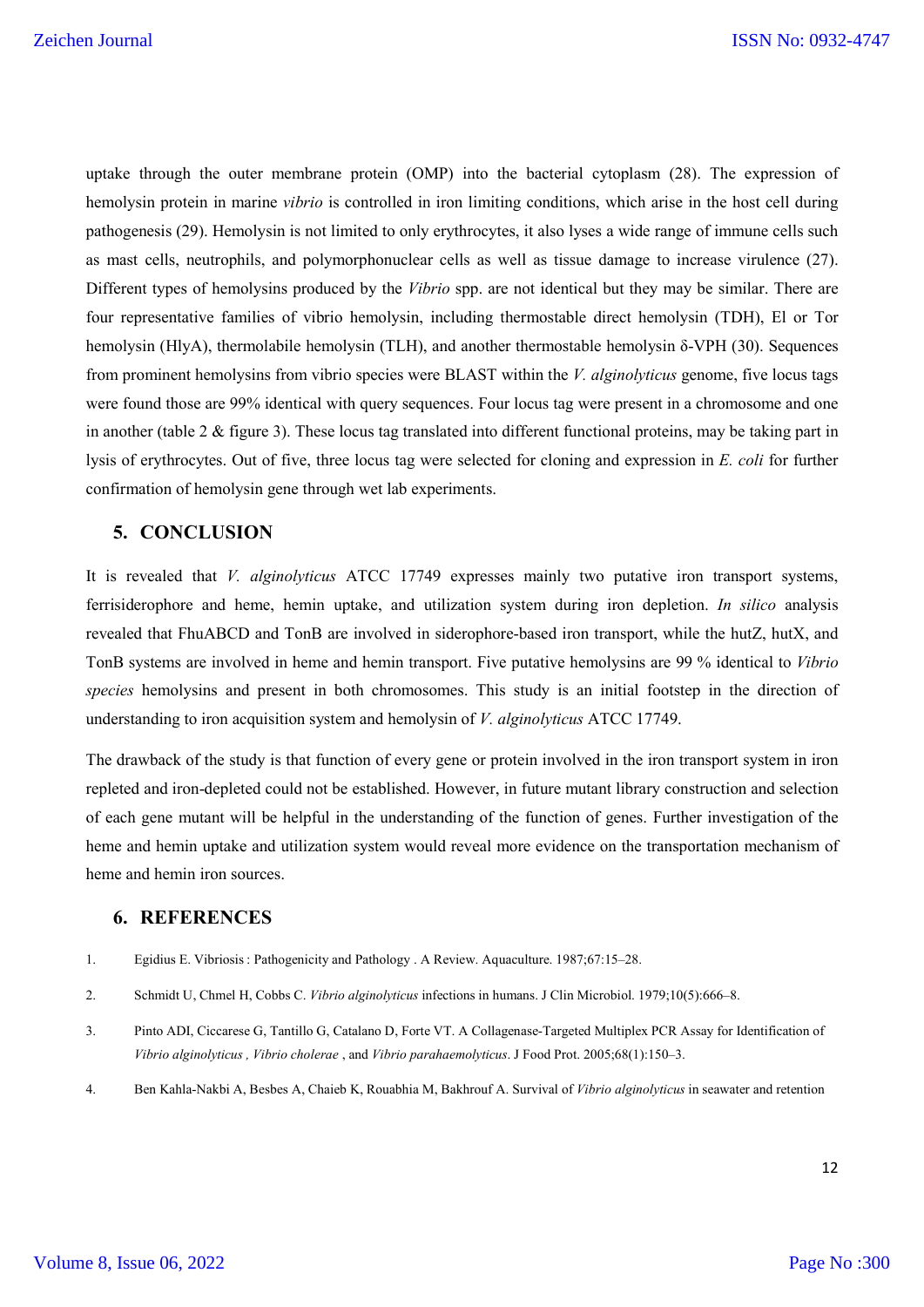uptake through the outer membrane protein (OMP) into the bacterial cytoplasm (28). The expression of hemolysin protein in marine *vibrio* is controlled in iron limiting conditions, which arise in the host cell during pathogenesis (29). Hemolysin is not limited to only erythrocytes, it also lyses a wide range of immune cells such as mast cells, neutrophils, and polymorphonuclear cells as well as tissue damage to increase virulence (27). Different types of hemolysins produced by the *Vibrio* spp. are not identical but they may be similar. There are four representative families of vibrio hemolysin, including thermostable direct hemolysin (TDH), El or Tor hemolysin (HlyA), thermolabile hemolysin (TLH), and another thermostable hemolysin δ-VPH (30). Sequences from prominent hemolysins from vibrio species were BLAST within the *V. alginolyticus* genome, five locus tags were found those are 99% identical with query sequences. Four locus tag were present in a chromosome and one in another (table 2 & figure 3). These locus tag translated into different functional proteins, may be taking part in lysis of erythrocytes. Out of five, three locus tag were selected for cloning and expression in *E. coli* for further confirmation of hemolysin gene through wet lab experiments.

# **5. CONCLUSION**

It is revealed that *V. alginolyticus* ATCC 17749 expresses mainly two putative iron transport systems, ferrisiderophore and heme, hemin uptake, and utilization system during iron depletion. *In silico* analysis revealed that FhuABCD and TonB are involved in siderophore-based iron transport, while the hutZ, hutX, and TonB systems are involved in heme and hemin transport. Five putative hemolysins are 99 % identical to *Vibrio species* hemolysins and present in both chromosomes. This study is an initial footstep in the direction of understanding to iron acquisition system and hemolysin of *V. alginolyticus* ATCC 17749.

The drawback of the study is that function of every gene or protein involved in the iron transport system in iron repleted and iron-depleted could not be established. However, in future mutant library construction and selection of each gene mutant will be helpful in the understanding of the function of genes. Further investigation of the heme and hemin uptake and utilization system would reveal more evidence on the transportation mechanism of heme and hemin iron sources.

# **6. REFERENCES**

- 1. Egidius E. Vibriosis : Pathogenicity and Pathology . A Review. Aquaculture. 1987;67:15–28.
- 2. Schmidt U, Chmel H, Cobbs C. *Vibrio alginolyticus* infections in humans. J Clin Microbiol. 1979;10(5):666–8.
- 3. Pinto ADI, Ciccarese G, Tantillo G, Catalano D, Forte VT. A Collagenase-Targeted Multiplex PCR Assay for Identification of *Vibrio alginolyticus , Vibrio cholerae* , and *Vibrio parahaemolyticus*. J Food Prot. 2005;68(1):150–3.
- 4. Ben Kahla-Nakbi A, Besbes A, Chaieb K, Rouabhia M, Bakhrouf A. Survival of *Vibrio alginolyticus* in seawater and retention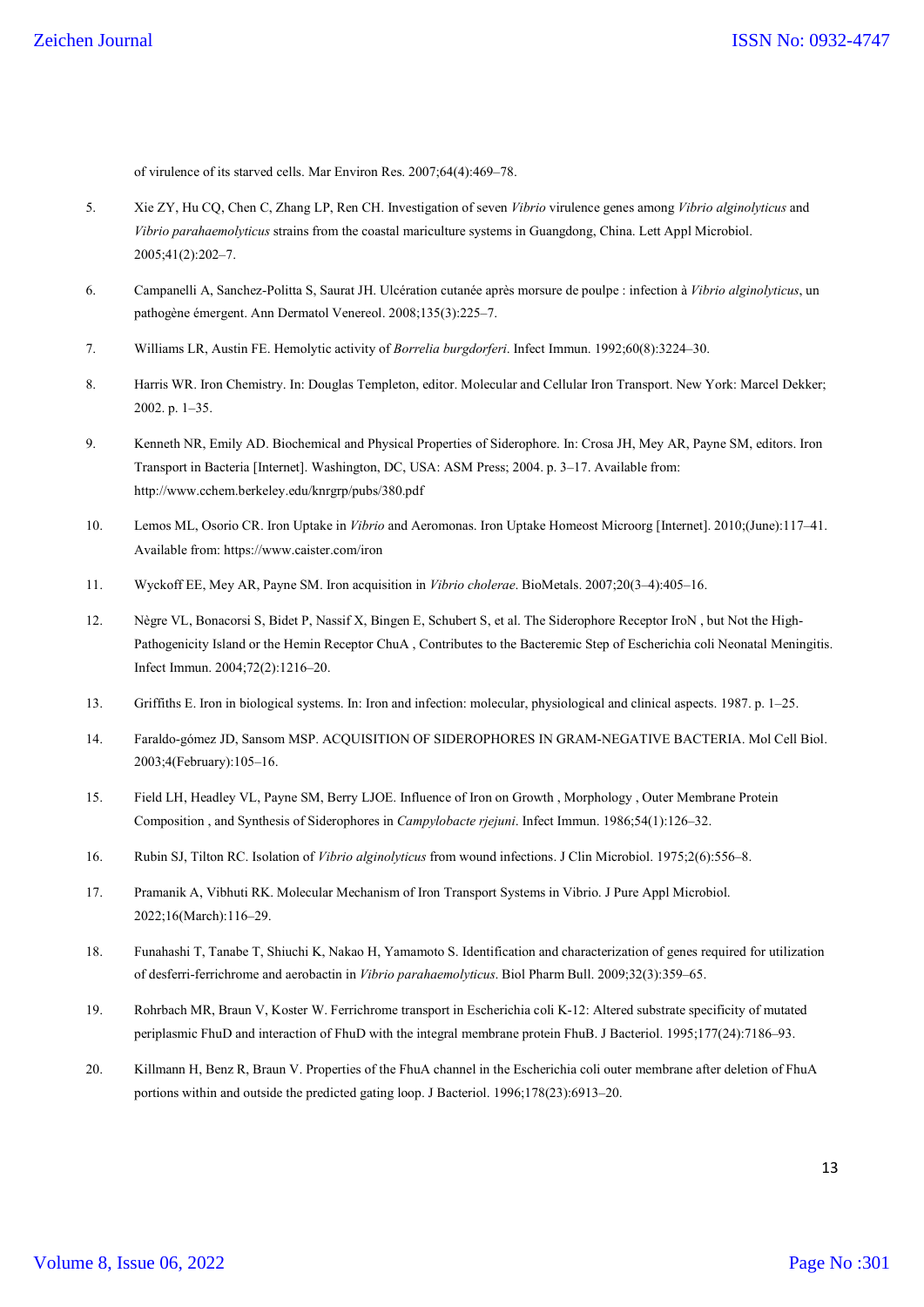of virulence of its starved cells. Mar Environ Res. 2007;64(4):469–78.

- 5. Xie ZY, Hu CQ, Chen C, Zhang LP, Ren CH. Investigation of seven *Vibrio* virulence genes among *Vibrio alginolyticus* and *Vibrio parahaemolyticus* strains from the coastal mariculture systems in Guangdong, China. Lett Appl Microbiol. 2005;41(2):202–7.
- 6. Campanelli A, Sanchez-Politta S, Saurat JH. Ulcération cutanée après morsure de poulpe : infection à *Vibrio alginolyticus*, un pathogène émergent. Ann Dermatol Venereol. 2008;135(3):225–7.
- 7. Williams LR, Austin FE. Hemolytic activity of *Borrelia burgdorferi*. Infect Immun. 1992;60(8):3224–30.
- 8. Harris WR. Iron Chemistry. In: Douglas Templeton, editor. Molecular and Cellular Iron Transport. New York: Marcel Dekker; 2002. p. 1–35.
- 9. Kenneth NR, Emily AD. Biochemical and Physical Properties of Siderophore. In: Crosa JH, Mey AR, Payne SM, editors. Iron Transport in Bacteria [Internet]. Washington, DC, USA: ASM Press; 2004. p. 3–17. Available from: http://www.cchem.berkeley.edu/knrgrp/pubs/380.pdf
- 10. Lemos ML, Osorio CR. Iron Uptake in *Vibrio* and Aeromonas. Iron Uptake Homeost Microorg [Internet]. 2010;(June):117–41. Available from: https://www.caister.com/iron
- 11. Wyckoff EE, Mey AR, Payne SM. Iron acquisition in *Vibrio cholerae*. BioMetals. 2007;20(3–4):405–16.
- 12. Nègre VL, Bonacorsi S, Bidet P, Nassif X, Bingen E, Schubert S, et al. The Siderophore Receptor IroN , but Not the High-Pathogenicity Island or the Hemin Receptor ChuA , Contributes to the Bacteremic Step of Escherichia coli Neonatal Meningitis. Infect Immun. 2004;72(2):1216–20.
- 13. Griffiths E. Iron in biological systems. In: Iron and infection: molecular, physiological and clinical aspects. 1987. p. 1–25.
- 14. Faraldo-gómez JD, Sansom MSP. ACQUISITION OF SIDEROPHORES IN GRAM-NEGATIVE BACTERIA. Mol Cell Biol. 2003;4(February):105–16.
- 15. Field LH, Headley VL, Payne SM, Berry LJOE. Influence of Iron on Growth , Morphology , Outer Membrane Protein Composition , and Synthesis of Siderophores in *Campylobacte rjejuni*. Infect Immun. 1986;54(1):126–32.
- 16. Rubin SJ, Tilton RC. Isolation of *Vibrio alginolyticus* from wound infections. J Clin Microbiol. 1975;2(6):556–8.
- 17. Pramanik A, Vibhuti RK. Molecular Mechanism of Iron Transport Systems in Vibrio. J Pure Appl Microbiol. 2022;16(March):116–29.
- 18. Funahashi T, Tanabe T, Shiuchi K, Nakao H, Yamamoto S. Identification and characterization of genes required for utilization of desferri-ferrichrome and aerobactin in *Vibrio parahaemolyticus*. Biol Pharm Bull. 2009;32(3):359–65.
- 19. Rohrbach MR, Braun V, Koster W. Ferrichrome transport in Escherichia coli K-12: Altered substrate specificity of mutated periplasmic FhuD and interaction of FhuD with the integral membrane protein FhuB. J Bacteriol. 1995;177(24):7186–93.
- 20. Killmann H, Benz R, Braun V. Properties of the FhuA channel in the Escherichia coli outer membrane after deletion of FhuA portions within and outside the predicted gating loop. J Bacteriol. 1996;178(23):6913–20.